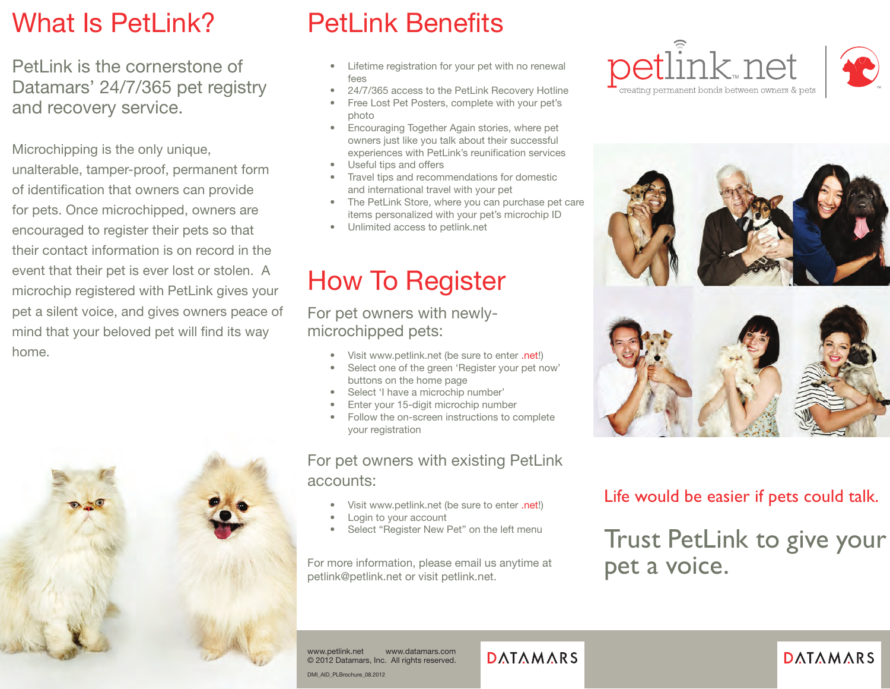## What Is PetLink?

PetLink is the cornerstone of Datamars' 24/7/365 pet registry and recovery service.

Microchipping is the only unique,

unalterable, tamper-proof, permanent form of identification that owners can provide for pets. Once microchipped, owners are encouraged to register their pets so that their contact information is on record in the event that their pet is ever lost or stolen. A microchip registered with PetLink gives your pet a silent voice, and gives owners peace of mind that your beloved pet will find its way home.



# PetLink Benefits

- Lifetime registration for your pet with no renewal fees
- 24/7/365 access to the PetLink Recovery Hotline
- Free Lost Pet Posters, complete with your pet's photo
- Encouraging Together Again stories, where pet owners just like you talk about their successful experiences with PetLink's reunification services
- Useful tips and offers
- Travel tips and recommendations for domestic and international travel with your pet
- The PetLink Store, where you can purchase pet care items personalized with your pet's microchip ID
- Unlimited access to petlink.net

# How To Register

For pet owners with newlymicrochipped pets:

- Visit www.petlink.net (be sure to enter .net!)
- Select one of the green 'Register your pet now' buttons on the home page
- Select 'I have a microchip number'
- Enter your 15-digit microchip number
- Follow the on-screen instructions to complete your registration

#### For pet owners with existing PetLink accounts:

- Visit www.petlink.net (be sure to enter .net!)
- Login to your account
- Select "Register New Pet" on the left menu

For more information, please email us anytime at petlink@petlink.net or visit petlink.net.







#### Life would be easier if pets could talk.

Trust PetLink to give your pet a voice.

www.petlink.net www.datamars.com © 2012 Datamars, Inc. All rights reserved.

#### **DATAMARS**

#### **DATAMARS**

DMI\_AID\_PLBrochure\_08.2012